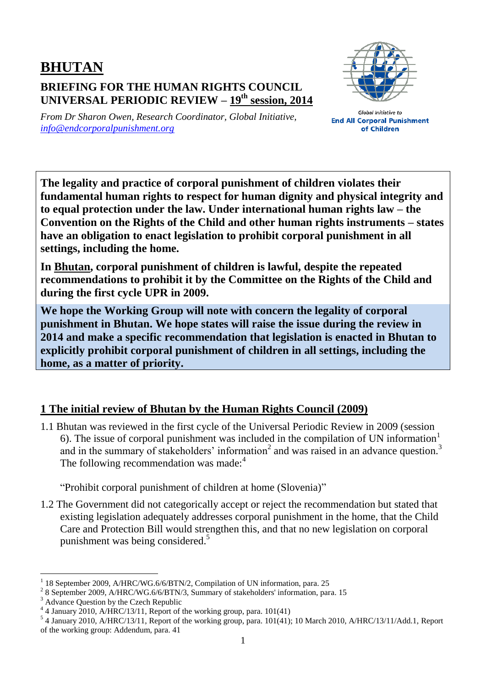## **BHUTAN BRIEFING FOR THE HUMAN RIGHTS COUNCIL UNIVERSAL PERIODIC REVIEW – 19 th session, 2014**



*From Dr Sharon Owen, Research Coordinator, Global Initiative, [info@endcorporalpunishment.org](mailto:info@endcorporalpunishment.org)*

**Global Initiative to End All Corporal Punishment** of Children

**The legality and practice of corporal punishment of children violates their fundamental human rights to respect for human dignity and physical integrity and to equal protection under the law. Under international human rights law – the Convention on the Rights of the Child and other human rights instruments – states have an obligation to enact legislation to prohibit corporal punishment in all settings, including the home.**

**In Bhutan, corporal punishment of children is lawful, despite the repeated recommendations to prohibit it by the Committee on the Rights of the Child and during the first cycle UPR in 2009.**

**We hope the Working Group will note with concern the legality of corporal punishment in Bhutan. We hope states will raise the issue during the review in 2014 and make a specific recommendation that legislation is enacted in Bhutan to explicitly prohibit corporal punishment of children in all settings, including the home, as a matter of priority.**

## **1 The initial review of Bhutan by the Human Rights Council (2009)**

1.1 Bhutan was reviewed in the first cycle of the Universal Periodic Review in 2009 (session 6). The issue of corporal punishment was included in the compilation of UN information<sup>1</sup> and in the summary of stakeholders' information<sup>2</sup> and was raised in an advance question.<sup>3</sup> The following recommendation was made:<sup>4</sup>

"Prohibit corporal punishment of children at home (Slovenia)"

1.2 The Government did not categorically accept or reject the recommendation but stated that existing legislation adequately addresses corporal punishment in the home, that the Child Care and Protection Bill would strengthen this, and that no new legislation on corporal punishment was being considered.<sup>5</sup>

 $\overline{a}$ 1 18 September 2009, A/HRC/WG.6/6/BTN/2, Compilation of UN information, para. 25

<sup>&</sup>lt;sup>2</sup> 8 September 2009, A/HRC/WG.6/6/BTN/3, Summary of stakeholders' information, para. 15

<sup>&</sup>lt;sup>3</sup> Advance Question by the Czech Republic

<sup>4</sup> 4 January 2010, A/HRC/13/11, Report of the working group, para. 101(41)

<sup>&</sup>lt;sup>5</sup> 4 January 2010, A/HRC/13/11, Report of the working group, para. 101(41); 10 March 2010, A/HRC/13/11/Add.1, Report of the working group: Addendum, para. 41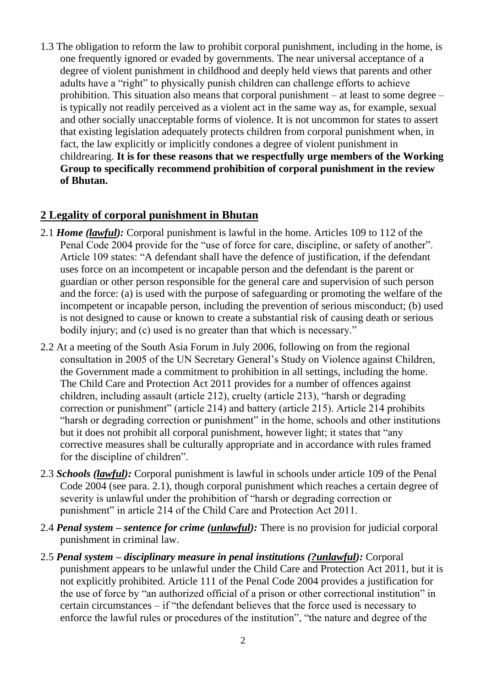1.3 The obligation to reform the law to prohibit corporal punishment, including in the home, is one frequently ignored or evaded by governments. The near universal acceptance of a degree of violent punishment in childhood and deeply held views that parents and other adults have a "right" to physically punish children can challenge efforts to achieve prohibition. This situation also means that corporal punishment – at least to some degree – is typically not readily perceived as a violent act in the same way as, for example, sexual and other socially unacceptable forms of violence. It is not uncommon for states to assert that existing legislation adequately protects children from corporal punishment when, in fact, the law explicitly or implicitly condones a degree of violent punishment in childrearing. **It is for these reasons that we respectfully urge members of the Working Group to specifically recommend prohibition of corporal punishment in the review of Bhutan.**

## **2 Legality of corporal punishment in Bhutan**

- 2.1 *Home (lawful):* Corporal punishment is lawful in the home. Articles 109 to 112 of the Penal Code 2004 provide for the "use of force for care, discipline, or safety of another". Article 109 states: "A defendant shall have the defence of justification, if the defendant uses force on an incompetent or incapable person and the defendant is the parent or guardian or other person responsible for the general care and supervision of such person and the force: (a) is used with the purpose of safeguarding or promoting the welfare of the incompetent or incapable person, including the prevention of serious misconduct; (b) used is not designed to cause or known to create a substantial risk of causing death or serious bodily injury; and (c) used is no greater than that which is necessary."
- 2.2 At a meeting of the South Asia Forum in July 2006, following on from the regional consultation in 2005 of the UN Secretary General's Study on Violence against Children, the Government made a commitment to prohibition in all settings, including the home. The Child Care and Protection Act 2011 provides for a number of offences against children, including assault (article 212), cruelty (article 213), "harsh or degrading correction or punishment" (article 214) and battery (article 215). Article 214 prohibits "harsh or degrading correction or punishment" in the home, schools and other institutions but it does not prohibit all corporal punishment, however light; it states that "any corrective measures shall be culturally appropriate and in accordance with rules framed for the discipline of children".
- 2.3 *Schools (lawful):* Corporal punishment is lawful in schools under article 109 of the Penal Code 2004 (see para. 2.1), though corporal punishment which reaches a certain degree of severity is unlawful under the prohibition of "harsh or degrading correction or punishment" in article 214 of the Child Care and Protection Act 2011.
- 2.4 *Penal system – sentence for crime (unlawful):* There is no provision for judicial corporal punishment in criminal law.
- 2.5 *Penal system – disciplinary measure in penal institutions (?unlawful):* Corporal punishment appears to be unlawful under the Child Care and Protection Act 2011, but it is not explicitly prohibited. Article 111 of the Penal Code 2004 provides a justification for the use of force by "an authorized official of a prison or other correctional institution" in certain circumstances – if "the defendant believes that the force used is necessary to enforce the lawful rules or procedures of the institution", "the nature and degree of the